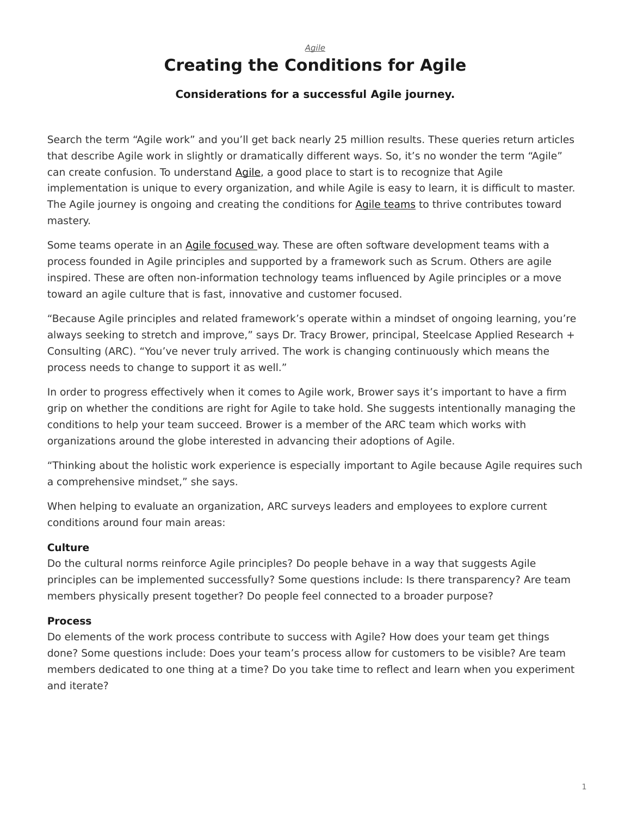# <span id="page-0-0"></span>*[Agile](https://www.steelcase.com/research/topics/agile/)* **Creating the Conditions for Agile**

# **Considerations for a successful Agile journey.**

Search the term "Agile work" and you'll get back nearly 25 million results. These queries return articles that describe Agile work in slightly or dramatically different ways. So, it's no wonder the term "Agile" can create confusion. To understand [Agile](https://www.steelcase.com/research/topics/agile/), a good place to start is to recognize that Agile implementation is unique to every organization, and while Agile is easy to learn, it is difficult to master. The Agile journey is ongoing and creating the conditions for [Agile teams](https://www.steelcase.com/research/articles/topics/agile/ten-things-agile-teams-need-know/) to thrive contributes toward mastery.

Some teams operate in an [Agile focused](https://www.steelcase.com/research/articles/six-ways-support-agile-teams/) way. These are often software development teams with a process founded in Agile principles and supported by a framework such as Scrum. Others are agile inspired. These are often non-information technology teams influenced by Agile principles or a move toward an agile culture that is fast, innovative and customer focused.

"Because Agile principles and related framework's operate within a mindset of ongoing learning, you're always seeking to stretch and improve," says Dr. Tracy Brower, principal, Steelcase Applied Research + Consulting (ARC). "You've never truly arrived. The work is changing continuously which means the process needs to change to support it as well."

In order to progress effectively when it comes to Agile work, Brower says it's important to have a firm grip on whether the conditions are right for Agile to take hold. She suggests intentionally managing the conditions to help your team succeed. Brower is a member of the ARC team which works with organizations around the globe interested in advancing their adoptions of Agile.

"Thinking about the holistic work experience is especially important to Agile because Agile requires such a comprehensive mindset," she says.

When helping to evaluate an organization, ARC surveys leaders and employees to explore current conditions around four main areas:

## **Culture**

Do the cultural norms reinforce Agile principles? Do people behave in a way that suggests Agile principles can be implemented successfully? Some questions include: Is there transparency? Are team members physically present together? Do people feel connected to a broader purpose?

## **Process**

Do elements of the work process contribute to success with Agile? How does your team get things done? Some questions include: Does your team's process allow for customers to be visible? Are team members dedicated to one thing at a time? Do you take time to reflect and learn when you experiment and iterate?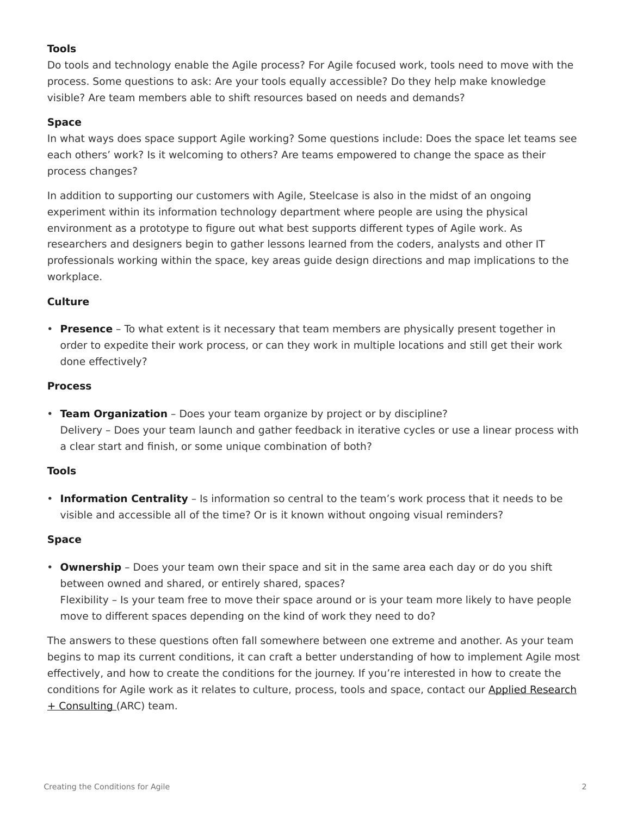# **Tools**

Do tools and technology enable the Agile process? For Agile focused work, tools need to move with the process. Some questions to ask: Are your tools equally accessible? Do they help make knowledge visible? Are team members able to shift resources based on needs and demands?

### **Space**

In what ways does space support Agile working? Some questions include: Does the space let teams see each others' work? Is it welcoming to others? Are teams empowered to change the space as their process changes?

In addition to supporting our customers with Agile, Steelcase is also in the midst of an ongoing experiment within its information technology department where people are using the physical environment as a prototype to figure out what best supports different types of Agile work. As researchers and designers begin to gather lessons learned from the coders, analysts and other IT professionals working within the space, key areas guide design directions and map implications to the workplace.

### **Culture**

• **Presence** – To what extent is it necessary that team members are physically present together in order to expedite their work process, or can they work in multiple locations and still get their work done effectively?

#### **Process**

• **Team Organization** – Does your team organize by project or by discipline? Delivery – Does your team launch and gather feedback in iterative cycles or use a linear process with a clear start and finish, or some unique combination of both?

#### **Tools**

• **Information Centrality** – Is information so central to the team's work process that it needs to be visible and accessible all of the time? Or is it known without ongoing visual reminders?

#### **Space**

• **Ownership** – Does your team own their space and sit in the same area each day or do you shift between owned and shared, or entirely shared, spaces? Flexibility – Is your team free to move their space around or is your team more likely to have people move to different spaces depending on the kind of work they need to do?

The answers to these questions often fall somewhere between one extreme and another. As your team begins to map its current conditions, it can craft a better understanding of how to implement Agile most effectively, and how to create the conditions for the journey. If you're interested in how to create the conditions for Agile work as it relates to culture, process, tools and space, contact our [Applied Research](https://www.steelcase.com/about/steelcase/consulting/) [+ Consulting](https://www.steelcase.com/about/steelcase/consulting/) (ARC) team.